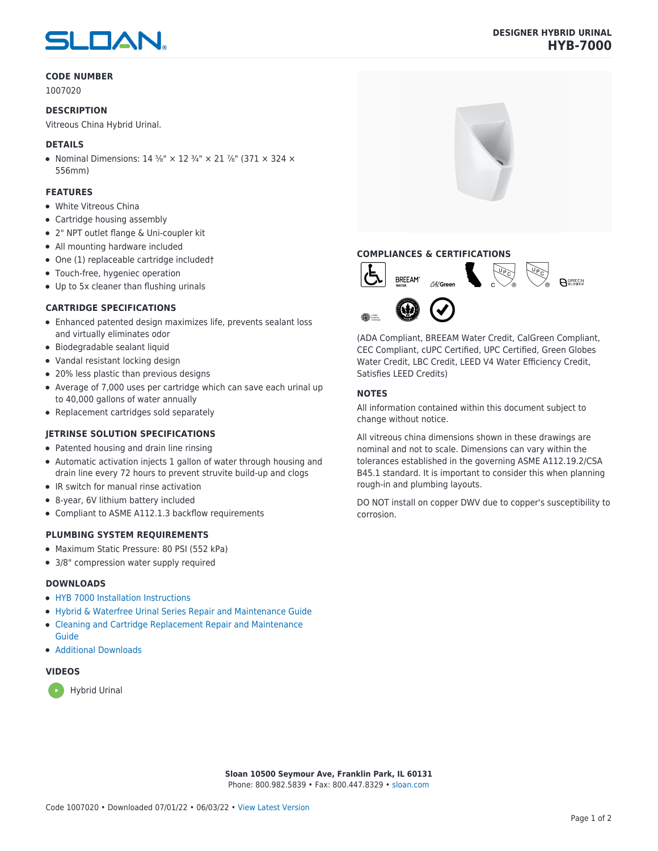# SLOAN

#### **CODE NUMBER**

1007020

#### **DESCRIPTION**

Vitreous China Hybrid Urinal.

#### **DETAILS**

• Nominal Dimensions:  $14\frac{5}{8}$ " ×  $12\frac{3}{4}$ " ×  $21\frac{7}{8}$ " (371 × 324 × 556mm)

### **FEATURES**

- White Vitreous China
- Cartridge housing assembly
- 2" NPT outlet flange & Uni-coupler kit
- All mounting hardware included
- One (1) replaceable cartridge included†
- Touch-free, hygeniec operation
- Up to 5x cleaner than flushing urinals

## **CARTRIDGE SPECIFICATIONS**

- Enhanced patented design maximizes life, prevents sealant loss and virtually eliminates odor
- Biodegradable sealant liquid
- Vandal resistant locking design
- 20% less plastic than previous designs
- Average of 7,000 uses per cartridge which can save each urinal up to 40,000 gallons of water annually
- Replacement cartridges sold separately

#### **JETRINSE SOLUTION SPECIFICATIONS**

- Patented housing and drain line rinsing
- Automatic activation injects 1 gallon of water through housing and drain line every 72 hours to prevent struvite build-up and clogs
- IR switch for manual rinse activation
- 8-year, 6V lithium battery included
- Compliant to ASME A112.1.3 backflow requirements

#### **PLUMBING SYSTEM REQUIREMENTS**

- Maximum Static Pressure: 80 PSI (552 kPa)
- 3/8" compression water supply required

#### **DOWNLOADS**

- [HYB 7000 Installation Instructions](https://www.sloan.com/sites/default/files/2015-12/hyb-7000.pdf)
- [Hybrid & Waterfree Urinal Series Repair and Maintenance Guide](https://www.sloan.com/sites/default/files/2020-03/Hybrid_Urinal_Series_Maint_Guide.pdf)
- [Cleaning and Cartridge Replacement Repair and Maintenance](https://www.sloan.com/sites/default/files/2015-12/urinal-cleaning-and-cartridge-replacement.pdf)
- [Additional Downloads](https://www.sloan.com/commercial-bathroom-products/urinals/hyb-7000)

#### **VIDEOS**

[Guide](https://www.sloan.com/sites/default/files/2015-12/urinal-cleaning-and-cartridge-replacement.pdf)



# **DESIGNER HYBRID URINAL HYB-7000**



# **COMPLIANCES & CERTIFICATIONS**



(ADA Compliant, BREEAM Water Credit, CalGreen Compliant, CEC Compliant, cUPC Certified, UPC Certified, Green Globes Water Credit, LBC Credit, LEED V4 Water Efficiency Credit, Satisfies LEED Credits)

#### **NOTES**

All information contained within this document subject to change without notice.

All vitreous china dimensions shown in these drawings are nominal and not to scale. Dimensions can vary within the tolerances established in the governing ASME A112.19.2/CSA B45.1 standard. It is important to consider this when planning rough-in and plumbing layouts.

DO NOT install on copper DWV due to copper's susceptibility to corrosion.